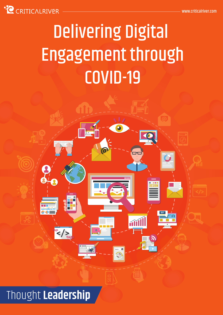

# Delivering Digital Engagement through COVID-19

 $\binom{z}{r}$ 

# Thought **Leadership**

 $\frac{gs}{2}$ 

**`**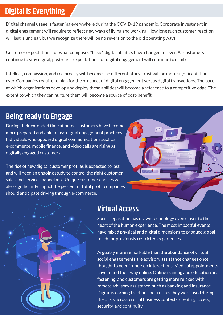### **Digital is Everything**

Digital channel usage is fastening everywhere during the COVID-19 pandemic. Corporate investment in digital engagement will require to reflect new ways of living and working. How long such customer reaction will last is unclear, but we recognize there will be no reversion to the old operating ways.

Customer expectations for what composes "basic" digital abilities have changed forever. As customers continue to stay digital, post-crisis expectations for digital engagement will continue to climb.

Intellect, compassion, and reciprocity will become the differentiators. Trust will be more significant than ever. Companies require to plan for the prospect of digital engagement versus digital transactions. The pace at which organizations develop and deploy these abilities will become a reference to a competitive edge. The extent to which they can nurture them will become a source of cost-benefit.

### **Being ready to Engage**

During their extended time at home, customers have become more prepared and able to use digital engagement practices. Individuals who opposed digital communications such as e-commerce, mobile finance, and video calls are rising as digitally engaged customers.

The rise of new digital customer profiles is expected to last and will need an ongoing study to control the right customer sales and service channel mix. Unique customer choices will also significantly impact the percent of total profit companies should anticipate driving through e-commerce.



### **Virtual Access**

Social separation has drawn technology even closer to the heart of the human experience. The most impactful events have mixed physical and digital dimensions to produce global reach for previously restricted experiences.

Arguably more remarkable than the abundance of virtual social engagements are advisory assistance changes once thought to need in-person interactions. Medical appointments have found their way online. Online training and education are fastening, and customers are getting more relaxed with remote advisory assistance, such as banking and insurance. Digital is earning traction and trust as they were used during the crisis across crucial business contexts, creating access, security, and continuity.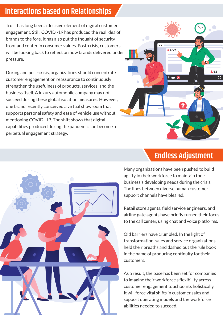#### **Interactions based on Relationships**

Trust has long been a decisive element of digital customer engagement. Still, COVID -19 has produced the real idea of brands to the fore. It has also put the thought of security front and center in consumer values. Post-crisis, customers will be looking back to reflect on how brands delivered under pressure.

During and post-crisis, organizations should concentrate customer engagement on reassurance to continuously strengthen the usefulness of products, services, and the business itself. A luxury automobile company may not succeed during these global isolation measures. However, one brand recently conceived a virtual showroom that supports personal safety and ease of vehicle use without mentioning COVID -19. The shift shows that digital capabilities produced during the pandemic can become a perpetual engagement strategy.





#### **Endless Adjustment**

Many organizations have been pushed to build agility in their workforce to maintain their business's developing needs during the crisis. The lines between diverse human customer support channels have bleared.

Retail store agents, field service engineers, and airline gate agents have briefly turned their focus to the call center, using chat and voice platforms.

Old barriers have crumbled. In the light of transformation, sales and service organizations held their breaths and dashed out the rule book in the name of producing continuity for their customers.

As a result, the base has been set for companies to imagine their workforce's flexibility across customer engagement touchpoints holistically. It will force vital shifts in customer sales and support operating models and the workforce abilities needed to succeed.